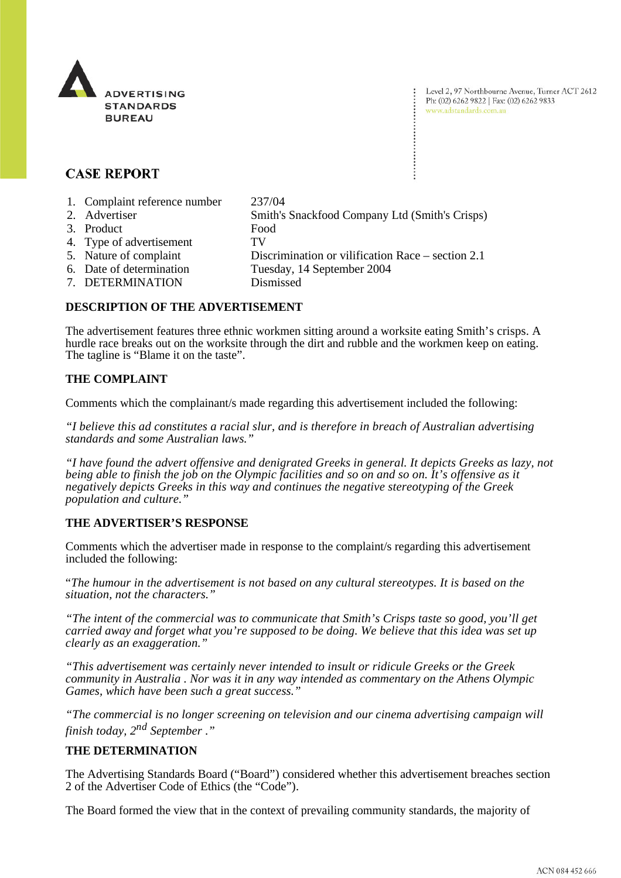

Level 2, 97 Northbourne Avenue, Turner ACT 2612 Ph: (02) 6262 9822 | Fax: (02) 6262 9833 www.adstandards.com.au

# **CASE REPORT**

- 1. Complaint reference number 237/04
- 2. Advertiser Smith's Snackfood Company Ltd (Smith's Crisps)
- 
- 3. Product Food
- 4. Type of advertisement TV
- 5. Nature of complaint Discrimination or vilification Race section 2.1
- 6. Date of determination Tuesday, 14 September 2004
- 7. DETERMINATION Dismissed

### **DESCRIPTION OF THE ADVERTISEMENT**

The advertisement features three ethnic workmen sitting around a worksite eating Smith's crisps. A hurdle race breaks out on the worksite through the dirt and rubble and the workmen keep on eating. The tagline is "Blame it on the taste".

### **THE COMPLAINT**

Comments which the complainant/s made regarding this advertisement included the following:

*"I believe this ad constitutes a racial slur, and is therefore in breach of Australian advertising standards and some Australian laws."*

*"I have found the advert offensive and denigrated Greeks in general. It depicts Greeks as lazy, not being able to finish the job on the Olympic facilities and so on and so on. It's offensive as it negatively depicts Greeks in this way and continues the negative stereotyping of the Greek population and culture."*

## **THE ADVERTISER'S RESPONSE**

Comments which the advertiser made in response to the complaint/s regarding this advertisement included the following:

"*The humour in the advertisement is not based on any cultural stereotypes. It is based on the situation, not the characters."*

*"The intent of the commercial was to communicate that Smith's Crisps taste so good, you'll get carried away and forget what you're supposed to be doing. We believe that this idea was set up clearly as an exaggeration."*

*"This advertisement was certainly never intended to insult or ridicule Greeks or the Greek community in Australia . Nor was it in any way intended as commentary on the Athens Olympic Games, which have been such a great success."*

*"The commercial is no longer screening on television and our cinema advertising campaign will finish today, 2nd September* .*"*

#### **THE DETERMINATION**

The Advertising Standards Board ("Board") considered whether this advertisement breaches section 2 of the Advertiser Code of Ethics (the "Code").

The Board formed the view that in the context of prevailing community standards, the majority of